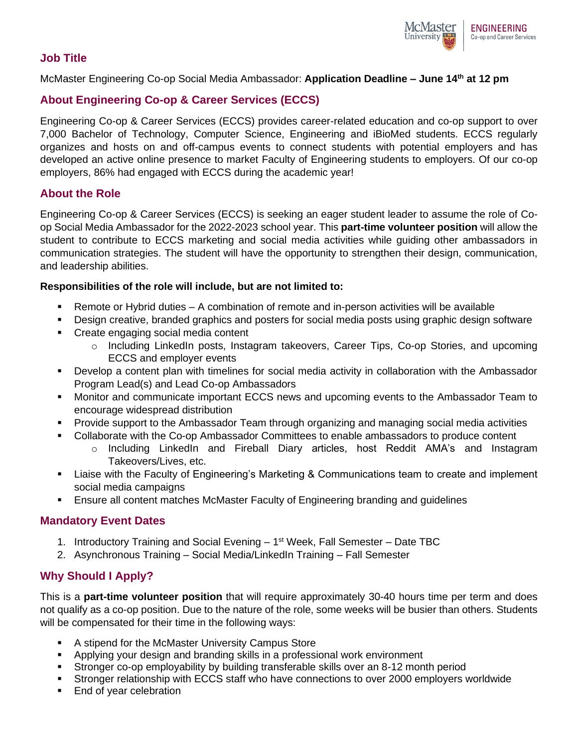

### **Job Title**

McMaster Engineering Co-op Social Media Ambassador: **Application Deadline – June 14th at 12 pm**

# **About Engineering Co-op & Career Services (ECCS)**

Engineering Co-op & Career Services (ECCS) provides career-related education and co-op support to over 7,000 Bachelor of Technology, Computer Science, Engineering and iBioMed students. ECCS regularly organizes and hosts on and off-campus events to connect students with potential employers and has developed an active online presence to market Faculty of Engineering students to employers. Of our co-op employers, 86% had engaged with ECCS during the academic year!

### **About the Role**

Engineering Co-op & Career Services (ECCS) is seeking an eager student leader to assume the role of Coop Social Media Ambassador for the 2022-2023 school year. This **part-time volunteer position** will allow the student to contribute to ECCS marketing and social media activities while guiding other ambassadors in communication strategies. The student will have the opportunity to strengthen their design, communication, and leadership abilities.

#### **Responsibilities of the role will include, but are not limited to:**

- **EXEL A** Remote or Hybrid duties A combination of remote and in-person activities will be available
- Design creative, branded graphics and posters for social media posts using graphic design software
- Create engaging social media content
	- o Including LinkedIn posts, Instagram takeovers, Career Tips, Co-op Stories, and upcoming ECCS and employer events
- Develop a content plan with timelines for social media activity in collaboration with the Ambassador Program Lead(s) and Lead Co-op Ambassadors
- Monitor and communicate important ECCS news and upcoming events to the Ambassador Team to encourage widespread distribution
- **Provide support to the Ambassador Team through organizing and managing social media activities**
- Collaborate with the Co-op Ambassador Committees to enable ambassadors to produce content
	- o Including LinkedIn and Fireball Diary articles, host Reddit AMA's and Instagram Takeovers/Lives, etc.
- Liaise with the Faculty of Engineering's Marketing & Communications team to create and implement social media campaigns
- **E** Ensure all content matches McMaster Faculty of Engineering branding and guidelines

### **Mandatory Event Dates**

- 1. Introductory Training and Social Evening 1<sup>st</sup> Week, Fall Semester Date TBC
- 2. Asynchronous Training Social Media/LinkedIn Training Fall Semester

### **Why Should I Apply?**

This is a **part-time volunteer position** that will require approximately 30-40 hours time per term and does not qualify as a co-op position. Due to the nature of the role, some weeks will be busier than others. Students will be compensated for their time in the following ways:

- A stipend for the McMaster University Campus Store
- Applying your design and branding skills in a professional work environment
- **EXECT** Stronger co-op employability by building transferable skills over an 8-12 month period
- **EXT** Stronger relationship with ECCS staff who have connections to over 2000 employers worldwide
- End of year celebration